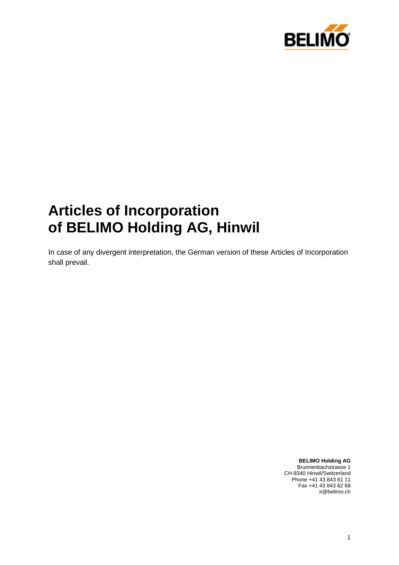

# **Articles of Incorporation of BELIMO Holding AG, Hinwil**

In case of any divergent interpretation, the German version of these Articles of Incorporation shall prevail.

> **BELIMO Holding AG** Brunnenbachstrasse 1 CH-8340 Hinwil/Switzerland Phone +41 43 843 61 11 Fax +41 43 843 62 68 ir@belimo.ch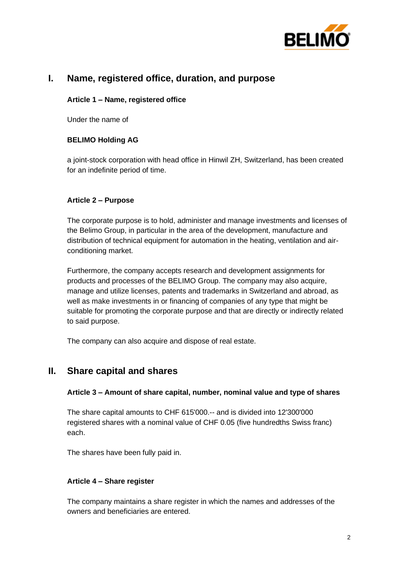

# **I. Name, registered office, duration, and purpose**

## **Article 1 – Name, registered office**

Under the name of

# **BELIMO Holding AG**

a joint-stock corporation with head office in Hinwil ZH, Switzerland, has been created for an indefinite period of time.

## **Article 2 – Purpose**

The corporate purpose is to hold, administer and manage investments and licenses of the Belimo Group, in particular in the area of the development, manufacture and distribution of technical equipment for automation in the heating, ventilation and airconditioning market.

Furthermore, the company accepts research and development assignments for products and processes of the BELIMO Group. The company may also acquire, manage and utilize licenses, patents and trademarks in Switzerland and abroad, as well as make investments in or financing of companies of any type that might be suitable for promoting the corporate purpose and that are directly or indirectly related to said purpose.

The company can also acquire and dispose of real estate.

# **II. Share capital and shares**

#### **Article 3 – Amount of share capital, number, nominal value and type of shares**

The share capital amounts to CHF 615'000.-- and is divided into 12'300'000 registered shares with a nominal value of CHF 0.05 (five hundredths Swiss franc) each.

The shares have been fully paid in.

## **Article 4 – Share register**

The company maintains a share register in which the names and addresses of the owners and beneficiaries are entered.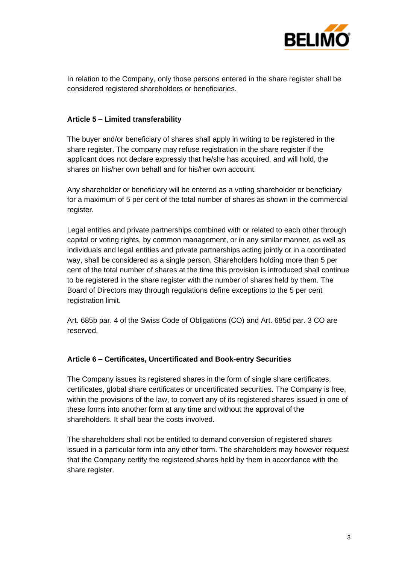

In relation to the Company, only those persons entered in the share register shall be considered registered shareholders or beneficiaries.

#### **Article 5 – Limited transferability**

The buyer and/or beneficiary of shares shall apply in writing to be registered in the share register. The company may refuse registration in the share register if the applicant does not declare expressly that he/she has acquired, and will hold, the shares on his/her own behalf and for his/her own account.

Any shareholder or beneficiary will be entered as a voting shareholder or beneficiary for a maximum of 5 per cent of the total number of shares as shown in the commercial register.

Legal entities and private partnerships combined with or related to each other through capital or voting rights, by common management, or in any similar manner, as well as individuals and legal entities and private partnerships acting jointly or in a coordinated way, shall be considered as a single person. Shareholders holding more than 5 per cent of the total number of shares at the time this provision is introduced shall continue to be registered in the share register with the number of shares held by them. The Board of Directors may through regulations define exceptions to the 5 per cent registration limit.

Art. 685b par. 4 of the Swiss Code of Obligations (CO) and Art. 685d par. 3 CO are reserved.

## **Article 6 – Certificates, Uncertificated and Book-entry Securities**

The Company issues its registered shares in the form of single share certificates, certificates, global share certificates or uncertificated securities. The Company is free, within the provisions of the law, to convert any of its registered shares issued in one of these forms into another form at any time and without the approval of the shareholders. It shall bear the costs involved.

The shareholders shall not be entitled to demand conversion of registered shares issued in a particular form into any other form. The shareholders may however request that the Company certify the registered shares held by them in accordance with the share register.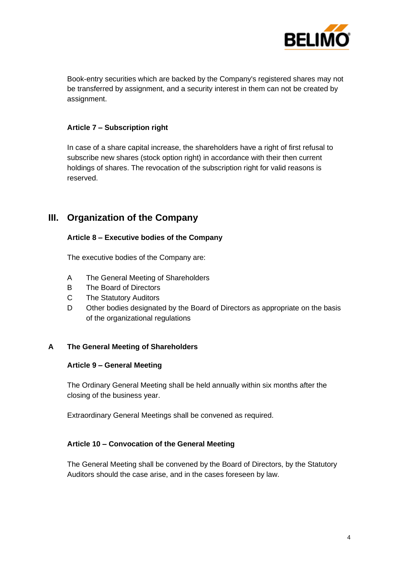

Book-entry securities which are backed by the Company's registered shares may not be transferred by assignment, and a security interest in them can not be created by assignment.

#### **Article 7 – Subscription right**

In case of a share capital increase, the shareholders have a right of first refusal to subscribe new shares (stock option right) in accordance with their then current holdings of shares. The revocation of the subscription right for valid reasons is reserved.

# **III. Organization of the Company**

#### **Article 8 – Executive bodies of the Company**

The executive bodies of the Company are:

- A The General Meeting of Shareholders
- B The Board of Directors
- C The Statutory Auditors
- D Other bodies designated by the Board of Directors as appropriate on the basis of the organizational regulations

## **A The General Meeting of Shareholders**

#### **Article 9 – General Meeting**

The Ordinary General Meeting shall be held annually within six months after the closing of the business year.

Extraordinary General Meetings shall be convened as required.

## **Article 10 – Convocation of the General Meeting**

The General Meeting shall be convened by the Board of Directors, by the Statutory Auditors should the case arise, and in the cases foreseen by law.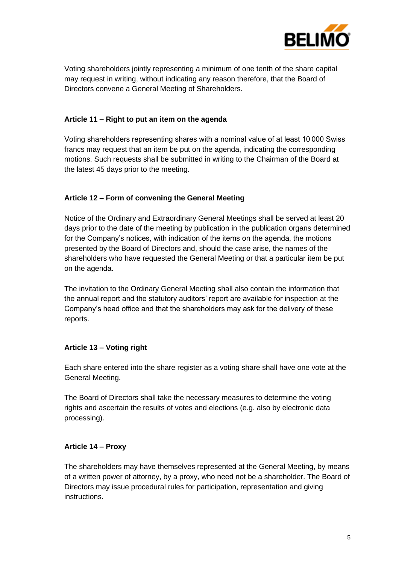

Voting shareholders jointly representing a minimum of one tenth of the share capital may request in writing, without indicating any reason therefore, that the Board of Directors convene a General Meeting of Shareholders.

# **Article 11 – Right to put an item on the agenda**

Voting shareholders representing shares with a nominal value of at least 10 000 Swiss francs may request that an item be put on the agenda, indicating the corresponding motions. Such requests shall be submitted in writing to the Chairman of the Board at the latest 45 days prior to the meeting.

## **Article 12 – Form of convening the General Meeting**

Notice of the Ordinary and Extraordinary General Meetings shall be served at least 20 days prior to the date of the meeting by publication in the publication organs determined for the Company's notices, with indication of the items on the agenda, the motions presented by the Board of Directors and, should the case arise, the names of the shareholders who have requested the General Meeting or that a particular item be put on the agenda.

The invitation to the Ordinary General Meeting shall also contain the information that the annual report and the statutory auditors' report are available for inspection at the Company's head office and that the shareholders may ask for the delivery of these reports.

# **Article 13 – Voting right**

Each share entered into the share register as a voting share shall have one vote at the General Meeting.

The Board of Directors shall take the necessary measures to determine the voting rights and ascertain the results of votes and elections (e.g. also by electronic data processing).

## **Article 14 – Proxy**

The shareholders may have themselves represented at the General Meeting, by means of a written power of attorney, by a proxy, who need not be a shareholder. The Board of Directors may issue procedural rules for participation, representation and giving instructions.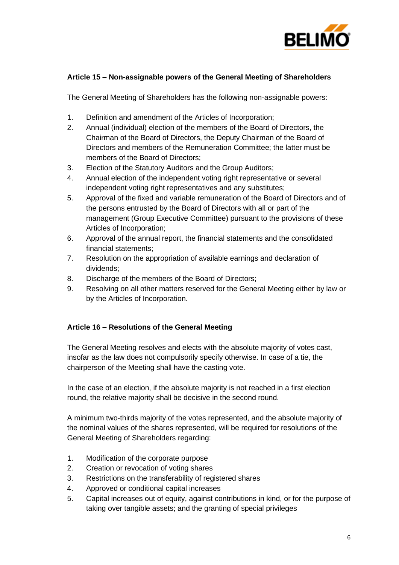

# **Article 15 – Non-assignable powers of the General Meeting of Shareholders**

The General Meeting of Shareholders has the following non-assignable powers:

- 1. Definition and amendment of the Articles of Incorporation;
- 2. Annual (individual) election of the members of the Board of Directors, the Chairman of the Board of Directors, the Deputy Chairman of the Board of Directors and members of the Remuneration Committee; the latter must be members of the Board of Directors;
- 3. Election of the Statutory Auditors and the Group Auditors;
- 4. Annual election of the independent voting right representative or several independent voting right representatives and any substitutes;
- 5. Approval of the fixed and variable remuneration of the Board of Directors and of the persons entrusted by the Board of Directors with all or part of the management (Group Executive Committee) pursuant to the provisions of these Articles of Incorporation;
- 6. Approval of the annual report, the financial statements and the consolidated financial statements;
- 7. Resolution on the appropriation of available earnings and declaration of dividends;
- 8. Discharge of the members of the Board of Directors;
- 9. Resolving on all other matters reserved for the General Meeting either by law or by the Articles of Incorporation.

## **Article 16 – Resolutions of the General Meeting**

The General Meeting resolves and elects with the absolute majority of votes cast, insofar as the law does not compulsorily specify otherwise. In case of a tie, the chairperson of the Meeting shall have the casting vote.

In the case of an election, if the absolute majority is not reached in a first election round, the relative majority shall be decisive in the second round.

A minimum two-thirds majority of the votes represented, and the absolute majority of the nominal values of the shares represented, will be required for resolutions of the General Meeting of Shareholders regarding:

- 1. Modification of the corporate purpose
- 2. Creation or revocation of voting shares
- 3. Restrictions on the transferability of registered shares
- 4. Approved or conditional capital increases
- 5. Capital increases out of equity, against contributions in kind, or for the purpose of taking over tangible assets; and the granting of special privileges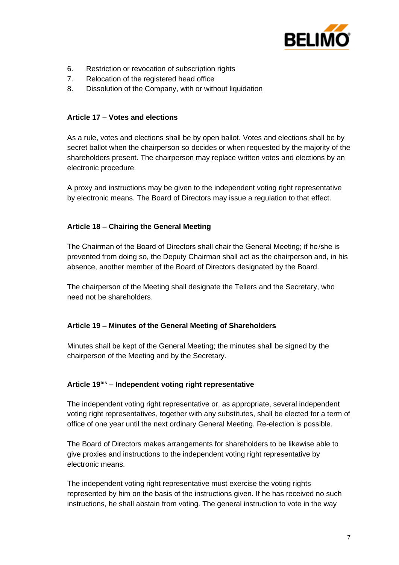

- 6. Restriction or revocation of subscription rights
- 7. Relocation of the registered head office
- 8. Dissolution of the Company, with or without liquidation

## **Article 17 – Votes and elections**

As a rule, votes and elections shall be by open ballot. Votes and elections shall be by secret ballot when the chairperson so decides or when requested by the majority of the shareholders present. The chairperson may replace written votes and elections by an electronic procedure.

A proxy and instructions may be given to the independent voting right representative by electronic means. The Board of Directors may issue a regulation to that effect.

## **Article 18 – Chairing the General Meeting**

The Chairman of the Board of Directors shall chair the General Meeting; if he /she is prevented from doing so, the Deputy Chairman shall act as the chairperson and, in his absence, another member of the Board of Directors designated by the Board.

The chairperson of the Meeting shall designate the Tellers and the Secretary, who need not be shareholders.

## **Article 19 – Minutes of the General Meeting of Shareholders**

Minutes shall be kept of the General Meeting; the minutes shall be signed by the chairperson of the Meeting and by the Secretary.

## **Article 19bis – Independent voting right representative**

The independent voting right representative or, as appropriate, several independent voting right representatives, together with any substitutes, shall be elected for a term of office of one year until the next ordinary General Meeting. Re-election is possible.

The Board of Directors makes arrangements for shareholders to be likewise able to give proxies and instructions to the independent voting right representative by electronic means.

The independent voting right representative must exercise the voting rights represented by him on the basis of the instructions given. If he has received no such instructions, he shall abstain from voting. The general instruction to vote in the way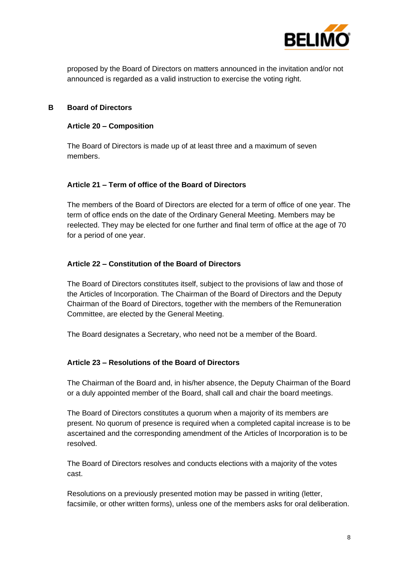

proposed by the Board of Directors on matters announced in the invitation and/or not announced is regarded as a valid instruction to exercise the voting right.

## **B Board of Directors**

#### **Article 20 – Composition**

The Board of Directors is made up of at least three and a maximum of seven members.

## **Article 21 – Term of office of the Board of Directors**

The members of the Board of Directors are elected for a term of office of one year. The term of office ends on the date of the Ordinary General Meeting. Members may be reelected. They may be elected for one further and final term of office at the age of 70 for a period of one year.

#### **Article 22 – Constitution of the Board of Directors**

The Board of Directors constitutes itself, subject to the provisions of law and those of the Articles of Incorporation. The Chairman of the Board of Directors and the Deputy Chairman of the Board of Directors, together with the members of the Remuneration Committee, are elected by the General Meeting.

The Board designates a Secretary, who need not be a member of the Board.

#### **Article 23 – Resolutions of the Board of Directors**

The Chairman of the Board and, in his/her absence, the Deputy Chairman of the Board or a duly appointed member of the Board, shall call and chair the board meetings.

The Board of Directors constitutes a quorum when a majority of its members are present. No quorum of presence is required when a completed capital increase is to be ascertained and the corresponding amendment of the Articles of Incorporation is to be resolved.

The Board of Directors resolves and conducts elections with a majority of the votes cast.

Resolutions on a previously presented motion may be passed in writing (letter, facsimile, or other written forms), unless one of the members asks for oral deliberation.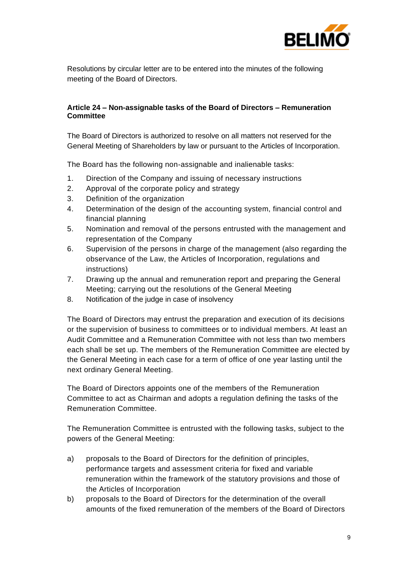

Resolutions by circular letter are to be entered into the minutes of the following meeting of the Board of Directors.

#### **Article 24 – Non-assignable tasks of the Board of Directors – Remuneration Committee**

The Board of Directors is authorized to resolve on all matters not reserved for the General Meeting of Shareholders by law or pursuant to the Articles of Incorporation.

The Board has the following non-assignable and inalienable tasks:

- 1. Direction of the Company and issuing of necessary instructions
- 2. Approval of the corporate policy and strategy
- 3. Definition of the organization
- 4. Determination of the design of the accounting system, financial control and financial planning
- 5. Nomination and removal of the persons entrusted with the management and representation of the Company
- 6. Supervision of the persons in charge of the management (also regarding the observance of the Law, the Articles of Incorporation, regulations and instructions)
- 7. Drawing up the annual and remuneration report and preparing the General Meeting; carrying out the resolutions of the General Meeting
- 8. Notification of the judge in case of insolvency

The Board of Directors may entrust the preparation and execution of its decisions or the supervision of business to committees or to individual members. At least an Audit Committee and a Remuneration Committee with not less than two members each shall be set up. The members of the Remuneration Committee are elected by the General Meeting in each case for a term of office of one year lasting until the next ordinary General Meeting.

The Board of Directors appoints one of the members of the Remuneration Committee to act as Chairman and adopts a regulation defining the tasks of the Remuneration Committee.

The Remuneration Committee is entrusted with the following tasks, subject to the powers of the General Meeting:

- a) proposals to the Board of Directors for the definition of principles, performance targets and assessment criteria for fixed and variable remuneration within the framework of the statutory provisions and those of the Articles of Incorporation
- b) proposals to the Board of Directors for the determination of the overall amounts of the fixed remuneration of the members of the Board of Directors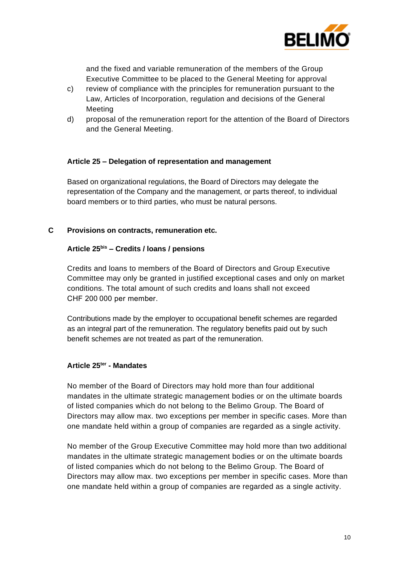

and the fixed and variable remuneration of the members of the Group Executive Committee to be placed to the General Meeting for approval

- c) review of compliance with the principles for remuneration pursuant to the Law, Articles of Incorporation, regulation and decisions of the General Meeting
- d) proposal of the remuneration report for the attention of the Board of Directors and the General Meeting.

#### **Article 25 – Delegation of representation and management**

Based on organizational regulations, the Board of Directors may delegate the representation of the Company and the management, or parts thereof, to individual board members or to third parties, who must be natural persons.

**C Provisions on contracts, remuneration etc.**

## **Article 25bis – Credits / loans / pensions**

Credits and loans to members of the Board of Directors and Group Executive Committee may only be granted in justified exceptional cases and only on market conditions. The total amount of such credits and loans shall not exceed CHF 200 000 per member.

Contributions made by the employer to occupational benefit schemes are regarded as an integral part of the remuneration. The regulatory benefits paid out by such benefit schemes are not treated as part of the remuneration.

## **Article 25ter - Mandates**

No member of the Board of Directors may hold more than four additional mandates in the ultimate strategic management bodies or on the ultimate boards of listed companies which do not belong to the Belimo Group. The Board of Directors may allow max. two exceptions per member in specific cases. More than one mandate held within a group of companies are regarded as a single activity.

No member of the Group Executive Committee may hold more than two additional mandates in the ultimate strategic management bodies or on the ultimate boards of listed companies which do not belong to the Belimo Group. The Board of Directors may allow max. two exceptions per member in specific cases. More than one mandate held within a group of companies are regarded as a single activity.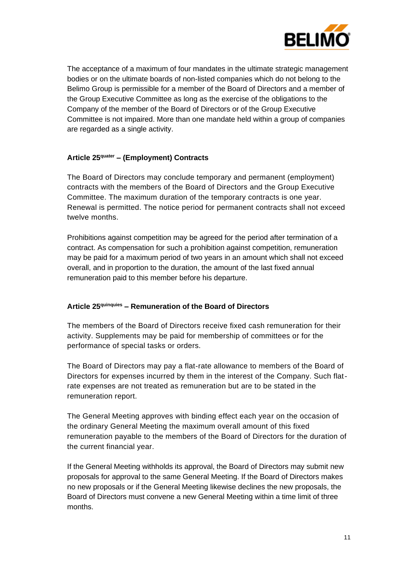

The acceptance of a maximum of four mandates in the ultimate strategic management bodies or on the ultimate boards of non-listed companies which do not belong to the Belimo Group is permissible for a member of the Board of Directors and a member of the Group Executive Committee as long as the exercise of the obligations to the Company of the member of the Board of Directors or of the Group Executive Committee is not impaired. More than one mandate held within a group of companies are regarded as a single activity.

## **Article 25quater – (Employment) Contracts**

The Board of Directors may conclude temporary and permanent (employment) contracts with the members of the Board of Directors and the Group Executive Committee. The maximum duration of the temporary contracts is one year. Renewal is permitted. The notice period for permanent contracts shall not exceed twelve months.

Prohibitions against competition may be agreed for the period after termination of a contract. As compensation for such a prohibition against competition, remuneration may be paid for a maximum period of two years in an amount which shall not exceed overall, and in proportion to the duration, the amount of the last fixed annual remuneration paid to this member before his departure.

## **Article 25quinquies – Remuneration of the Board of Directors**

The members of the Board of Directors receive fixed cash remuneration for their activity. Supplements may be paid for membership of committees or for the performance of special tasks or orders.

The Board of Directors may pay a flat-rate allowance to members of the Board of Directors for expenses incurred by them in the interest of the Company. Such flatrate expenses are not treated as remuneration but are to be stated in the remuneration report.

The General Meeting approves with binding effect each year on the occasion of the ordinary General Meeting the maximum overall amount of this fixed remuneration payable to the members of the Board of Directors for the duration of the current financial year.

If the General Meeting withholds its approval, the Board of Directors may submit new proposals for approval to the same General Meeting. If the Board of Directors makes no new proposals or if the General Meeting likewise declines the new proposals, the Board of Directors must convene a new General Meeting within a time limit of three months.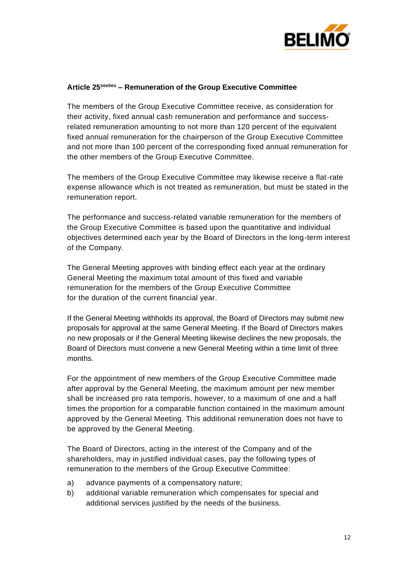

#### **Article 25sexties – Remuneration of the Group Executive Committee**

The members of the Group Executive Committee receive, as consideration for their activity, fixed annual cash remuneration and performance and successrelated remuneration amounting to not more than 120 percent of the equivalent fixed annual remuneration for the chairperson of the Group Executive Committee and not more than 100 percent of the corresponding fixed annual remuneration for the other members of the Group Executive Committee.

The members of the Group Executive Committee may likewise receive a flat-rate expense allowance which is not treated as remuneration, but must be stated in the remuneration report.

The performance and success-related variable remuneration for the members of the Group Executive Committee is based upon the quantitative and individual objectives determined each year by the Board of Directors in the long-term interest of the Company.

The General Meeting approves with binding effect each year at the ordinary General Meeting the maximum total amount of this fixed and variable remuneration for the members of the Group Executive Committee for the duration of the current financial year.

If the General Meeting withholds its approval, the Board of Directors may submit new proposals for approval at the same General Meeting. If the Board of Directors makes no new proposals or if the General Meeting likewise declines the new proposals, the Board of Directors must convene a new General Meeting within a time limit of three months.

For the appointment of new members of the Group Executive Committee made after approval by the General Meeting, the maximum amount per new member shall be increased pro rata temporis, however, to a maximum of one and a half times the proportion for a comparable function contained in the maximum amount approved by the General Meeting. This additional remuneration does not have to be approved by the General Meeting.

The Board of Directors, acting in the interest of the Company and of the shareholders, may in justified individual cases, pay the following types of remuneration to the members of the Group Executive Committee:

- a) advance payments of a compensatory nature;
- b) additional variable remuneration which compensates for special and additional services justified by the needs of the business.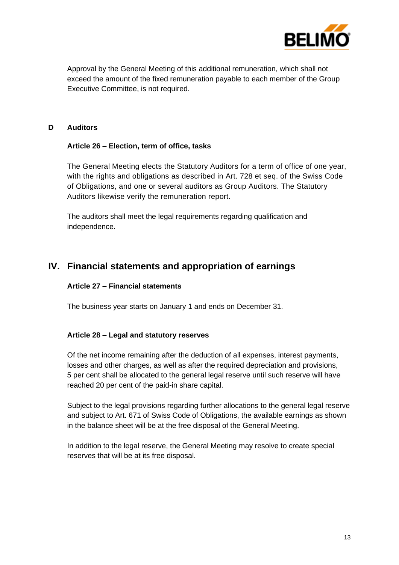

Approval by the General Meeting of this additional remuneration, which shall not exceed the amount of the fixed remuneration payable to each member of the Group Executive Committee, is not required.

#### **D Auditors**

#### **Article 26 – Election, term of office, tasks**

The General Meeting elects the Statutory Auditors for a term of office of one year, with the rights and obligations as described in Art. 728 et seq. of the Swiss Code of Obligations, and one or several auditors as Group Auditors. The Statutory Auditors likewise verify the remuneration report.

The auditors shall meet the legal requirements regarding qualification and independence.

# **IV. Financial statements and appropriation of earnings**

# **Article 27 – Financial statements**

The business year starts on January 1 and ends on December 31.

#### **Article 28 – Legal and statutory reserves**

Of the net income remaining after the deduction of all expenses, interest payments, losses and other charges, as well as after the required depreciation and provisions, 5 per cent shall be allocated to the general legal reserve until such reserve will have reached 20 per cent of the paid-in share capital.

Subject to the legal provisions regarding further allocations to the general legal reserve and subject to Art. 671 of Swiss Code of Obligations, the available earnings as shown in the balance sheet will be at the free disposal of the General Meeting.

In addition to the legal reserve, the General Meeting may resolve to create special reserves that will be at its free disposal.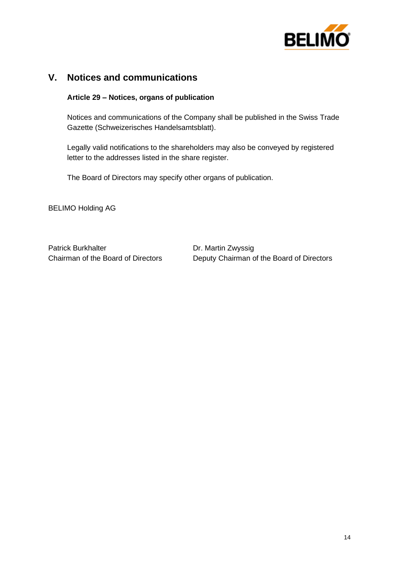

# **V. Notices and communications**

#### **Article 29 – Notices, organs of publication**

Notices and communications of the Company shall be published in the Swiss Trade Gazette (Schweizerisches Handelsamtsblatt).

Legally valid notifications to the shareholders may also be conveyed by registered letter to the addresses listed in the share register.

The Board of Directors may specify other organs of publication.

BELIMO Holding AG

Patrick Burkhalter **Dr. Martin Zwyssig** 

Chairman of the Board of Directors Deputy Chairman of the Board of Directors